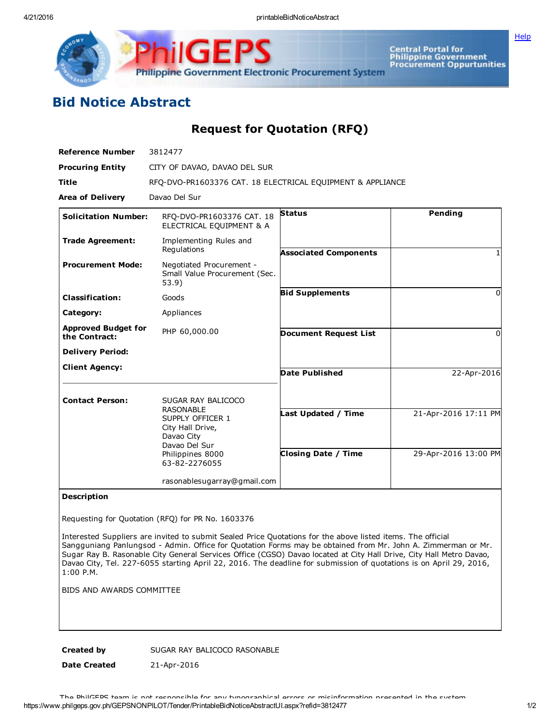GE **Philippine Government Electronic Procurement System** 

Central Portal for<br>Philippine Government<br>Procurement Oppurtunities

**[Help](javascript:void(window.open()** 

## Bid Notice Abstract

Request for Quotation (RFQ)

| <b>Reference Number</b>                     | 3812477                                                                                                                      |                              |                      |
|---------------------------------------------|------------------------------------------------------------------------------------------------------------------------------|------------------------------|----------------------|
| <b>Procuring Entity</b>                     | CITY OF DAVAO, DAVAO DEL SUR                                                                                                 |                              |                      |
| <b>Title</b>                                | RFO-DVO-PR1603376 CAT. 18 ELECTRICAL EOUIPMENT & APPLIANCE                                                                   |                              |                      |
| <b>Area of Delivery</b>                     | Davao Del Sur                                                                                                                |                              |                      |
| <b>Solicitation Number:</b>                 | RFO-DVO-PR1603376 CAT. 18<br>ELECTRICAL EQUIPMENT & A                                                                        | <b>Status</b>                | <b>Pending</b>       |
| <b>Trade Agreement:</b>                     | Implementing Rules and<br>Regulations                                                                                        | <b>Associated Components</b> |                      |
| <b>Procurement Mode:</b>                    | Negotiated Procurement -<br>Small Value Procurement (Sec.<br>53.9)                                                           |                              |                      |
| <b>Classification:</b>                      | Goods                                                                                                                        | <b>Bid Supplements</b>       | $\Omega$             |
| Category:                                   | Appliances                                                                                                                   |                              |                      |
| <b>Approved Budget for</b><br>the Contract: | PHP 60,000.00                                                                                                                | <b>Document Request List</b> | $\Omega$             |
| <b>Delivery Period:</b>                     |                                                                                                                              |                              |                      |
| <b>Client Agency:</b>                       |                                                                                                                              | <b>Date Published</b>        | 22-Apr-2016          |
| <b>Contact Person:</b>                      | SUGAR RAY BALICOCO                                                                                                           |                              |                      |
|                                             | <b>RASONABLE</b><br>SUPPLY OFFICER 1<br>City Hall Drive,<br>Davao City<br>Davao Del Sur<br>Philippines 8000<br>63-82-2276055 | Last Updated / Time          | 21-Apr-2016 17:11 PM |
|                                             |                                                                                                                              | <b>Closing Date / Time</b>   | 29-Apr-2016 13:00 PM |
|                                             | rasonablesugarray@gmail.com                                                                                                  |                              |                      |

## Description

Requesting for Quotation (RFQ) for PR No. 1603376

Interested Suppliers are invited to submit Sealed Price Quotations for the above listed items. The official Sangguniang Panlungsod Admin. Office for Quotation Forms may be obtained from Mr. John A. Zimmerman or Mr. Sugar Ray B. Rasonable City General Services Office (CGSO) Davao located at City Hall Drive, City Hall Metro Davao, Davao City, Tel. 227-6055 starting April 22, 2016. The deadline for submission of quotations is on April 29, 2016, 1:00 P.M.

BIDS AND AWARDS COMMITTEE

Created by SUGAR RAY BALICOCO RASONABLE

Date Created 21-Apr-2016